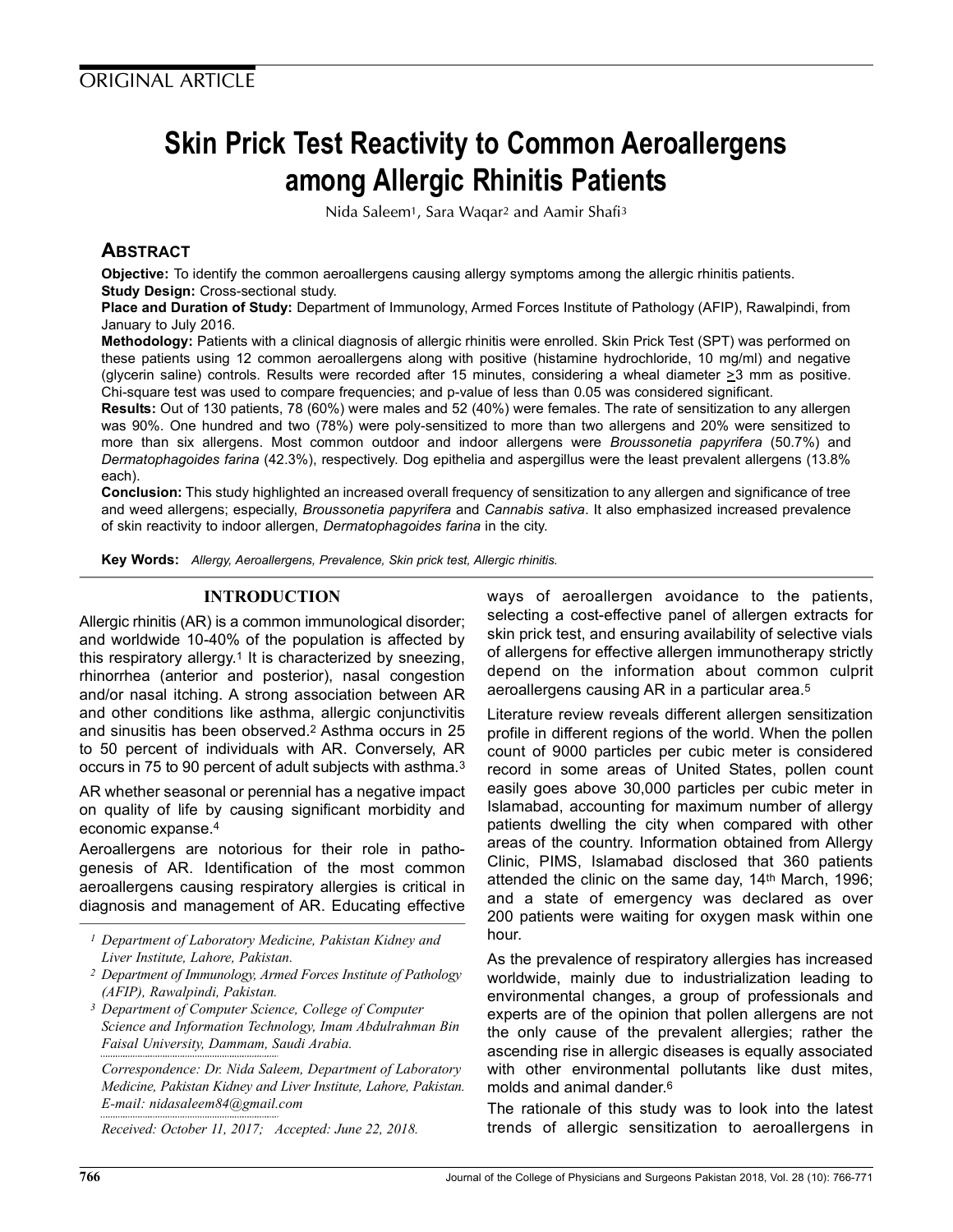# Skin Prick Test Reactivity to Common Aeroallergens among Allergic Rhinitis Patients

Nida Saleem1, Sara Waqar<sup>2</sup> and Aamir Shafi<sup>3</sup>

## **ABSTRACT**

Objective: To identify the common aeroallergens causing allergy symptoms among the allergic rhinitis patients. **Study Design: Cross-sectional study.** 

Place and Duration of Study: Department of Immunology, Armed Forces Institute of Pathology (AFIP), Rawalpindi, from January to July 2016.

Methodology: Patients with a clinical diagnosis of allergic rhinitis were enrolled. Skin Prick Test (SPT) was performed on these patients using 12 common aeroallergens along with positive (histamine hydrochloride, 10 mg/ml) and negative (glycerin saline) controls. Results were recorded after 15 minutes, considering a wheal diameter  $\geq$ 3 mm as positive. Chi-square test was used to compare frequencies; and p-value of less than 0.05 was considered significant.

Results: Out of 130 patients, 78 (60%) were males and 52 (40%) were females. The rate of sensitization to any allergen was 90%. One hundred and two (78%) were poly-sensitized to more than two allergens and 20% were sensitized to more than six allergens. Most common outdoor and indoor allergens were Broussonetia papyrifera (50.7%) and Dermatophagoides farina (42.3%), respectively. Dog epithelia and aspergillus were the least prevalent allergens (13.8% each).

Conclusion: This study highlighted an increased overall frequency of sensitization to any allergen and significance of tree and weed allergens; especially, Broussonetia papyrifera and Cannabis sativa. It also emphasized increased prevalence of skin reactivity to indoor allergen, Dermatophagoides farina in the city.

Key Words: Allergy, Aeroallergens, Prevalence, Skin prick test, Allergic rhinitis.

## INTRODUCTION

Allergic rhinitis (AR) is a common immunological disorder; and worldwide 10-40% of the population is affected by this respiratory allergy.<sup>1</sup> It is characterized by sneezing, rhinorrhea (anterior and posterior), nasal congestion and/or nasal itching. A strong association between AR and other conditions like asthma, allergic conjunctivitis and sinusitis has been observed.<sup>2</sup> Asthma occurs in 25 to 50 percent of individuals with AR. Conversely, AR occurs in 75 to 90 percent of adult subjects with asthma.<sup>3</sup>

AR whether seasonal or perennial has a negative impact on quality of life by causing significant morbidity and economic expanse.<sup>4</sup>

Aeroallergens are notorious for their role in pathogenesis of AR. Identification of the most common aeroallergens causing respiratory allergies is critical in diagnosis and management of AR. Educating effective

1 Department of Laboratory Medicine, Pakistan Kidney and Liver Institute, Lahore, Pakistan.

- 2 Department of Immunology, Armed Forces Institute of Pathology (AFIP), Rawalpindi, Pakistan.
- 3 Department of Computer Science, College of Computer Science and Information Technology, Imam Abdulrahman Bin Faisal University, Dammam, Saudi Arabia.

Correspondence: Dr. Nida Saleem, Department of Laboratory Medicine, Pakistan Kidney and Liver Institute, Lahore, Pakistan. E-mail: nidasaleem84@gmail.com

Received: October 11, 2017; Accepted: June 22, 2018.

ways of aeroallergen avoidance to the patients, selecting a cost-effective panel of allergen extracts for skin prick test, and ensuring availability of selective vials of allergens for effective allergen immunotherapy strictly depend on the information about common culprit aeroallergens causing AR in a particular area.<sup>5</sup>

Literature review reveals different allergen sensitization profile in different regions of the world. When the pollen count of 9000 particles per cubic meter is considered record in some areas of United States, pollen count easily goes above 30,000 particles per cubic meter in Islamabad, accounting for maximum number of allergy patients dwelling the city when compared with other areas of the country. Information obtained from Allergy Clinic, PIMS, Islamabad disclosed that 360 patients attended the clinic on the same day, 14th March, 1996; and a state of emergency was declared as over 200 patients were waiting for oxygen mask within one hour.

As the prevalence of respiratory allergies has increased worldwide, mainly due to industrialization leading to environmental changes, a group of professionals and experts are of the opinion that pollen allergens are not the only cause of the prevalent allergies; rather the ascending rise in allergic diseases is equally associated with other environmental pollutants like dust mites, molds and animal dander.<sup>6</sup>

The rationale of this study was to look into the latest trends of allergic sensitization to aeroallergens in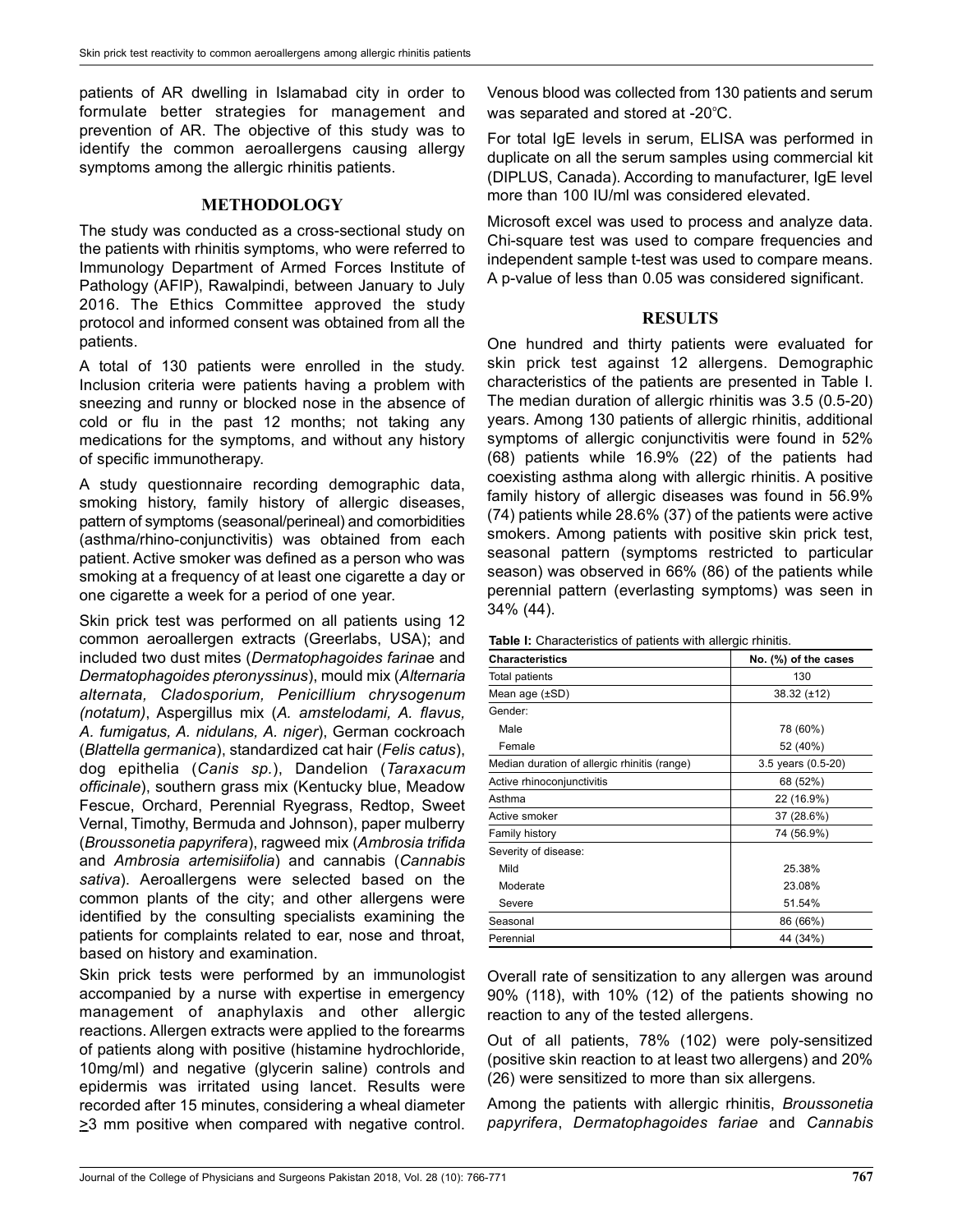patients of AR dwelling in Islamabad city in order to formulate better strategies for management and prevention of AR. The objective of this study was to identify the common aeroallergens causing allergy symptoms among the allergic rhinitis patients.

## METHODOLOGY

The study was conducted as a cross-sectional study on the patients with rhinitis symptoms, who were referred to Immunology Department of Armed Forces Institute of Pathology (AFIP), Rawalpindi, between January to July 2016. The Ethics Committee approved the study protocol and informed consent was obtained from all the patients.

A total of 130 patients were enrolled in the study. Inclusion criteria were patients having a problem with sneezing and runny or blocked nose in the absence of cold or flu in the past 12 months; not taking any medications for the symptoms, and without any history of specific immunotherapy.

A study questionnaire recording demographic data, smoking history, family history of allergic diseases, pattern of symptoms (seasonal/perineal) and comorbidities (asthma/rhino-conjunctivitis) was obtained from each patient. Active smoker was defined as a person who was smoking at a frequency of at least one cigarette a day or one cigarette a week for a period of one year.

Skin prick test was performed on all patients using 12 common aeroallergen extracts (Greerlabs, USA); and included two dust mites (Dermatophagoides farinae and Dermatophagoides pteronyssinus), mould mix (Alternaria alternata, Cladosporium, Penicillium chrysogenum (notatum), Aspergillus mix (A. amstelodami, A. flavus, A. fumigatus, A. nidulans, A. niger), German cockroach (Blattella germanica), standardized cat hair (Felis catus), dog epithelia (Canis sp.), Dandelion (Taraxacum officinale), southern grass mix (Kentucky blue, Meadow Fescue, Orchard, Perennial Ryegrass, Redtop, Sweet Vernal, Timothy, Bermuda and Johnson), paper mulberry (Broussonetia papyrifera), ragweed mix (Ambrosia trifida and Ambrosia artemisiifolia) and cannabis (Cannabis sativa). Aeroallergens were selected based on the common plants of the city; and other allergens were identified by the consulting specialists examining the patients for complaints related to ear, nose and throat, based on history and examination.

Skin prick tests were performed by an immunologist accompanied by a nurse with expertise in emergency management of anaphylaxis and other allergic reactions. Allergen extracts were applied to the forearms of patients along with positive (histamine hydrochloride, 10mg/ml) and negative (glycerin saline) controls and epidermis was irritated using lancet. Results were recorded after 15 minutes, considering a wheal diameter  $\geq$ 3 mm positive when compared with negative control. Venous blood was collected from 130 patients and serum was separated and stored at  $-20^{\circ}$ C.

For total IgE levels in serum, ELISA was performed in duplicate on all the serum samples using commercial kit (DIPLUS, Canada). According to manufacturer, IgE level more than 100 IU/ml was considered elevated.

Microsoft excel was used to process and analyze data. Chi-square test was used to compare frequencies and independent sample t-test was used to compare means. A p-value of less than 0.05 was considered significant.

## **RESULTS**

One hundred and thirty patients were evaluated for skin prick test against 12 allergens. Demographic characteristics of the patients are presented in Table I. The median duration of allergic rhinitis was 3.5 (0.5-20) years. Among 130 patients of allergic rhinitis, additional symptoms of allergic conjunctivitis were found in 52% (68) patients while 16.9% (22) of the patients had coexisting asthma along with allergic rhinitis. A positive family history of allergic diseases was found in 56.9% (74) patients while 28.6% (37) of the patients were active smokers. Among patients with positive skin prick test, seasonal pattern (symptoms restricted to particular season) was observed in 66% (86) of the patients while perennial pattern (everlasting symptoms) was seen in 34% (44).

| <b>Table I:</b> Characteristics of patients with allergic rhinitis. |  |  |  |  |
|---------------------------------------------------------------------|--|--|--|--|
|                                                                     |  |  |  |  |

| <b>Characteristics</b>                       | No. (%) of the cases |  |  |  |
|----------------------------------------------|----------------------|--|--|--|
| Total patients                               | 130                  |  |  |  |
| Mean age $(\pm SD)$                          | $38.32 (\pm 12)$     |  |  |  |
| Gender:                                      |                      |  |  |  |
| Male                                         | 78 (60%)             |  |  |  |
| Female                                       | 52 (40%)             |  |  |  |
| Median duration of allergic rhinitis (range) | 3.5 years (0.5-20)   |  |  |  |
| Active rhinoconjunctivitis                   | 68 (52%)             |  |  |  |
| Asthma                                       | 22 (16.9%)           |  |  |  |
| Active smoker                                | 37 (28.6%)           |  |  |  |
| Family history                               | 74 (56.9%)           |  |  |  |
| Severity of disease:                         |                      |  |  |  |
| Mild                                         | 25.38%               |  |  |  |
| Moderate                                     | 23.08%               |  |  |  |
| Severe                                       | 51.54%               |  |  |  |
| Seasonal                                     | 86 (66%)             |  |  |  |
| Perennial                                    | 44 (34%)             |  |  |  |

Overall rate of sensitization to any allergen was around 90% (118), with 10% (12) of the patients showing no reaction to any of the tested allergens.

Out of all patients, 78% (102) were poly-sensitized (positive skin reaction to at least two allergens) and 20% (26) were sensitized to more than six allergens.

Among the patients with allergic rhinitis, Broussonetia papyrifera, Dermatophagoides fariae and Cannabis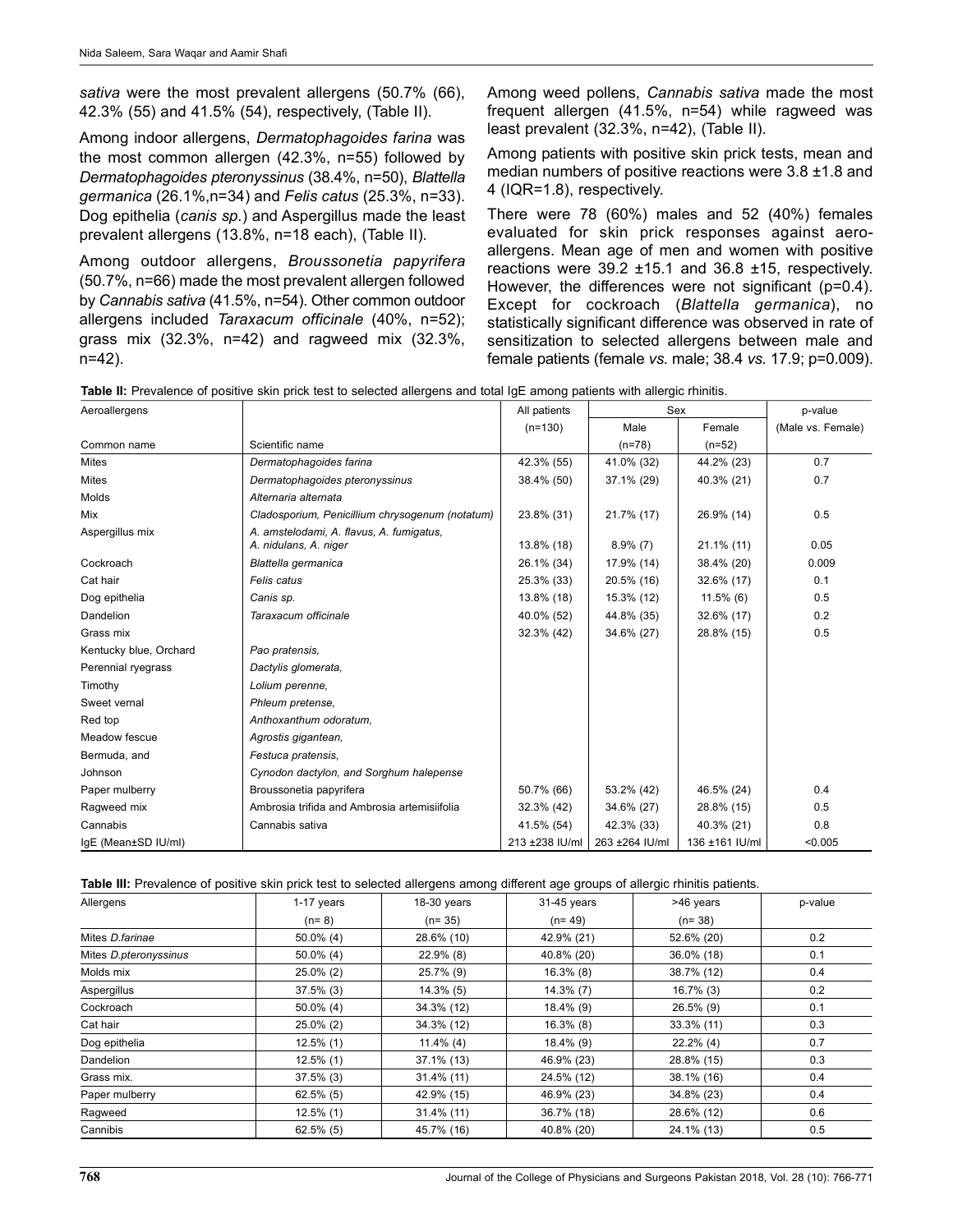sativa were the most prevalent allergens (50.7% (66), 42.3% (55) and 41.5% (54), respectively, (Table II).

Among indoor allergens, Dermatophagoides farina was the most common allergen (42.3%, n=55) followed by Dermatophagoides pteronyssinus (38.4%, n=50), Blattella germanica (26.1%,n=34) and Felis catus (25.3%, n=33). Dog epithelia (canis sp.) and Aspergillus made the least prevalent allergens (13.8%, n=18 each), (Table II).

Among outdoor allergens, Broussonetia papyrifera (50.7%, n=66) made the most prevalent allergen followed by Cannabis sativa (41.5%, n=54). Other common outdoor allergens included Taraxacum officinale (40%, n=52); grass mix (32.3%, n=42) and ragweed mix (32.3%, n=42).

Among weed pollens, Cannabis sativa made the most frequent allergen (41.5%, n=54) while ragweed was least prevalent (32.3%, n=42), (Table II).

Among patients with positive skin prick tests, mean and median numbers of positive reactions were 3.8 ±1.8 and 4 (IQR=1.8), respectively.

There were 78 (60%) males and 52 (40%) females evaluated for skin prick responses against aeroallergens. Mean age of men and women with positive reactions were 39.2 ±15.1 and 36.8 ±15, respectively. However, the differences were not significant (p=0.4). Except for cockroach (Blattella germanica), no statistically significant difference was observed in rate of sensitization to selected allergens between male and female patients (female vs. male; 38.4 vs. 17.9; p=0.009).

| Aeroallergens          |                                                                   | All patients   | Sex            |                | p-value           |
|------------------------|-------------------------------------------------------------------|----------------|----------------|----------------|-------------------|
|                        |                                                                   | $(n=130)$      | Male           | Female         | (Male vs. Female) |
| Common name            | Scientific name                                                   |                | $(n=78)$       | $(n=52)$       |                   |
| <b>Mites</b>           | Dermatophagoides farina                                           | 42.3% (55)     | 41.0% (32)     | 44.2% (23)     | 0.7               |
| <b>Mites</b>           | Dermatophagoides pteronyssinus                                    | 38.4% (50)     | 37.1% (29)     | 40.3% (21)     | 0.7               |
| Molds                  | Alternaria alternata                                              |                |                |                |                   |
| Mix                    | Cladosporium, Penicillium chrysogenum (notatum)                   | 23.8% (31)     | 21.7% (17)     | 26.9% (14)     | 0.5               |
| Aspergillus mix        | A. amstelodami, A. flavus, A. fumigatus,<br>A. nidulans, A. niger | 13.8% (18)     | $8.9\%$ (7)    | $21.1\%$ (11)  | 0.05              |
| Cockroach              | Blattella germanica                                               | 26.1% (34)     | 17.9% (14)     | 38.4% (20)     | 0.009             |
| Cat hair               | Felis catus                                                       | 25.3% (33)     | 20.5% (16)     | 32.6% (17)     | 0.1               |
| Dog epithelia          | Canis sp.                                                         | 13.8% (18)     | 15.3% (12)     | $11.5\%$ (6)   | 0.5               |
| Dandelion              | Taraxacum officinale                                              | 40.0% (52)     | 44.8% (35)     | 32.6% (17)     | 0.2               |
| Grass mix              |                                                                   | 32.3% (42)     | 34.6% (27)     | 28.8% (15)     | 0.5               |
| Kentucky blue, Orchard | Pao pratensis.                                                    |                |                |                |                   |
| Perennial ryegrass     | Dactylis glomerata,                                               |                |                |                |                   |
| Timothy                | Lolium perenne,                                                   |                |                |                |                   |
| Sweet vernal           | Phleum pretense.                                                  |                |                |                |                   |
| Red top                | Anthoxanthum odoratum,                                            |                |                |                |                   |
| Meadow fescue          | Agrostis gigantean,                                               |                |                |                |                   |
| Bermuda, and           | Festuca pratensis.                                                |                |                |                |                   |
| Johnson                | Cynodon dactylon, and Sorghum halepense                           |                |                |                |                   |
| Paper mulberry         | Broussonetia papyrifera                                           | 50.7% (66)     | 53.2% (42)     | 46.5% (24)     | 0.4               |
| Ragweed mix            | Ambrosia trifida and Ambrosia artemisiifolia                      | 32.3% (42)     | 34.6% (27)     | 28.8% (15)     | 0.5               |
| Cannabis               | Cannabis sativa                                                   | 41.5% (54)     | 42.3% (33)     | 40.3% (21)     | 0.8               |
| IgE (Mean±SD IU/ml)    |                                                                   | 213 ±238 IU/ml | 263 ±264 IU/ml | 136 ±161 IU/ml | < 0.005           |

Table III: Prevalence of positive skin prick test to selected allergens among different age groups of allergic rhinitis patients.

| Allergens             | 1-17 years   | $18-30$ years | 31-45 years  | >46 years    | p-value |
|-----------------------|--------------|---------------|--------------|--------------|---------|
|                       | $(n=8)$      | $(n=35)$      | $(n=49)$     | $(n=38)$     |         |
| Mites D farinae       | $50.0\%$ (4) | 28.6% (10)    | 42.9% (21)   | 52.6% (20)   | 0.2     |
| Mites D.pteronyssinus | $50.0\%$ (4) | $22.9\%$ (8)  | 40.8% (20)   | 36.0% (18)   | 0.1     |
| Molds mix             | $25.0\%$ (2) | 25.7% (9)     | $16.3\%$ (8) | 38.7% (12)   | 0.4     |
| Aspergillus           | $37.5\%$ (3) | $14.3\%$ (5)  | $14.3\%$ (7) | $16.7\%$ (3) | 0.2     |
| Cockroach             | $50.0\%$ (4) | 34.3% (12)    | 18.4% (9)    | 26.5% (9)    | 0.1     |
| Cat hair              | $25.0\%$ (2) | 34.3% (12)    | $16.3\%$ (8) | 33.3% (11)   | 0.3     |
| Dog epithelia         | $12.5\%$ (1) | $11.4\%$ (4)  | 18.4% (9)    | $22.2\%$ (4) | 0.7     |
| <b>Dandelion</b>      | $12.5\%$ (1) | 37.1% (13)    | 46.9% (23)   | 28.8% (15)   | 0.3     |
| Grass mix.            | $37.5\%$ (3) | $31.4\%$ (11) | 24.5% (12)   | 38.1% (16)   | 0.4     |
| Paper mulberry        | $62.5\%$ (5) | 42.9% (15)    | 46.9% (23)   | 34.8% (23)   | 0.4     |
| Ragweed               | $12.5\%$ (1) | $31.4\%$ (11) | 36.7% (18)   | 28.6% (12)   | 0.6     |
| Cannibis              | $62.5\%$ (5) | 45.7% (16)    | 40.8% (20)   | 24.1% (13)   | 0.5     |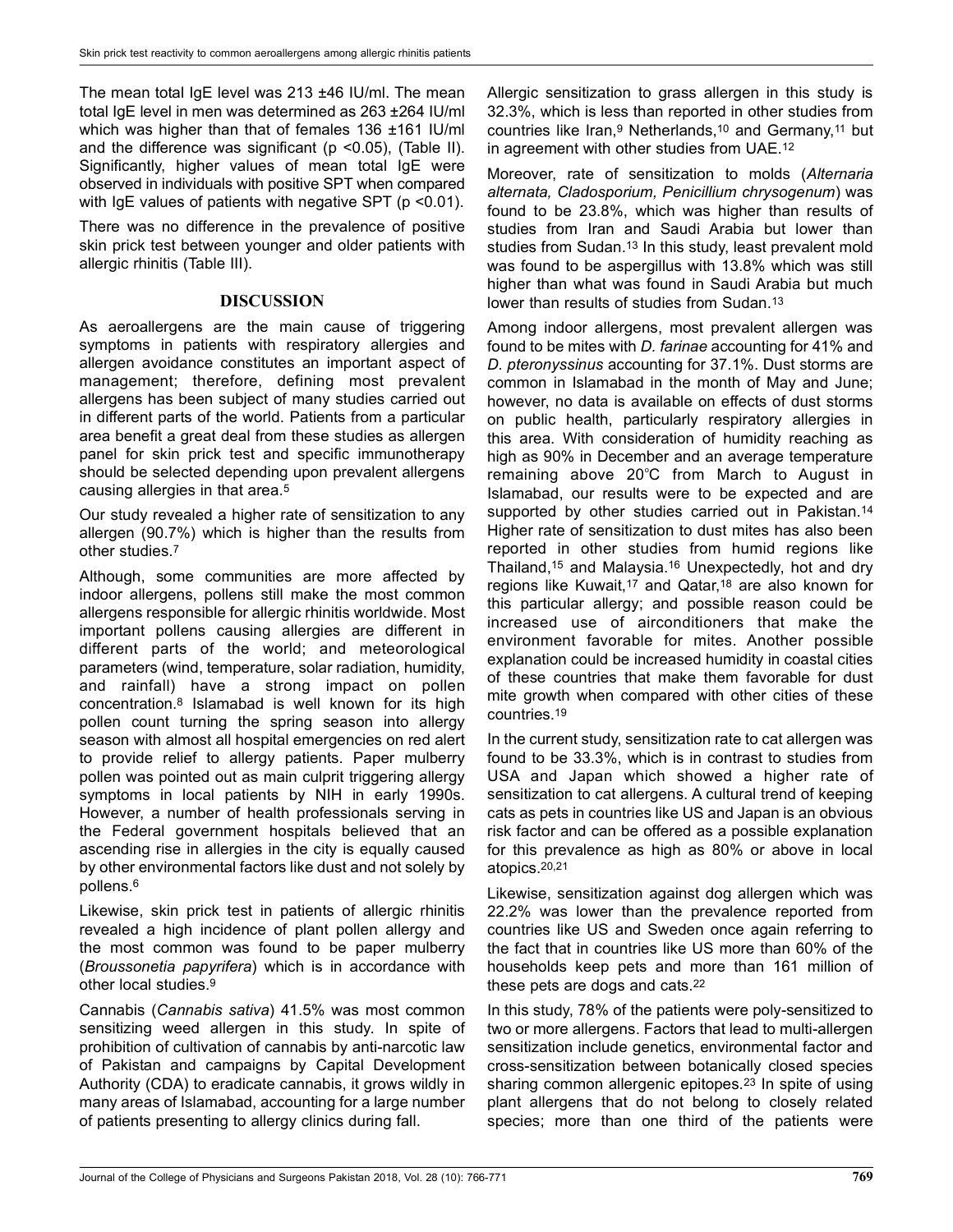The mean total IgE level was 213 ±46 IU/ml. The mean total IgE level in men was determined as 263 ±264 IU/ml which was higher than that of females 136 ±161 IU/ml and the difference was significant ( $p$  <0.05), (Table II). Significantly, higher values of mean total IgE were observed in individuals with positive SPT when compared with IgE values of patients with negative SPT (p <0.01).

There was no difference in the prevalence of positive skin prick test between younger and older patients with allergic rhinitis (Table III).

## DISCUSSION

As aeroallergens are the main cause of triggering symptoms in patients with respiratory allergies and allergen avoidance constitutes an important aspect of management; therefore, defining most prevalent allergens has been subject of many studies carried out in different parts of the world. Patients from a particular area benefit a great deal from these studies as allergen panel for skin prick test and specific immunotherapy should be selected depending upon prevalent allergens causing allergies in that area.<sup>5</sup>

Our study revealed a higher rate of sensitization to any allergen (90.7%) which is higher than the results from other studies<sup>7</sup>

Although, some communities are more affected by indoor allergens, pollens still make the most common allergens responsible for allergic rhinitis worldwide. Most important pollens causing allergies are different in different parts of the world; and meteorological parameters (wind, temperature, solar radiation, humidity, and rainfall) have a strong impact on pollen concentration.<sup>8</sup> Islamabad is well known for its high pollen count turning the spring season into allergy season with almost all hospital emergencies on red alert to provide relief to allergy patients. Paper mulberry pollen was pointed out as main culprit triggering allergy symptoms in local patients by NIH in early 1990s. However, a number of health professionals serving in the Federal government hospitals believed that an ascending rise in allergies in the city is equally caused by other environmental factors like dust and not solely by pollens.<sup>6</sup>

Likewise, skin prick test in patients of allergic rhinitis revealed a high incidence of plant pollen allergy and the most common was found to be paper mulberry (Broussonetia papyrifera) which is in accordance with other local studies.<sup>9</sup>

Cannabis (Cannabis sativa) 41.5% was most common sensitizing weed allergen in this study. In spite of prohibition of cultivation of cannabis by anti-narcotic law of Pakistan and campaigns by Capital Development Authority (CDA) to eradicate cannabis, it grows wildly in many areas of Islamabad, accounting for a large number of patients presenting to allergy clinics during fall.

Allergic sensitization to grass allergen in this study is 32.3%, which is less than reported in other studies from countries like Iran,<sup>9</sup> Netherlands,<sup>10</sup> and Germany,<sup>11</sup> but in agreement with other studies from UAE.<sup>12</sup>

Moreover, rate of sensitization to molds (Alternaria alternata, Cladosporium, Penicillium chrysogenum) was found to be 23.8%, which was higher than results of studies from Iran and Saudi Arabia but lower than studies from Sudan.<sup>13</sup> In this study, least prevalent mold was found to be aspergillus with 13.8% which was still higher than what was found in Saudi Arabia but much lower than results of studies from Sudan.<sup>13</sup>

Among indoor allergens, most prevalent allergen was found to be mites with D. farinae accounting for 41% and D. pteronyssinus accounting for 37.1%. Dust storms are common in Islamabad in the month of May and June; however, no data is available on effects of dust storms on public health, particularly respiratory allergies in this area. With consideration of humidity reaching as high as 90% in December and an average temperature remaining above  $20^{\circ}$ C from March to August in Islamabad, our results were to be expected and are supported by other studies carried out in Pakistan.<sup>14</sup> Higher rate of sensitization to dust mites has also been reported in other studies from humid regions like Thailand,<sup>15</sup> and Malaysia.<sup>16</sup> Unexpectedly, hot and dry regions like Kuwait,<sup>17</sup> and Qatar,<sup>18</sup> are also known for this particular allergy; and possible reason could be increased use of airconditioners that make the environment favorable for mites. Another possible explanation could be increased humidity in coastal cities of these countries that make them favorable for dust mite growth when compared with other cities of these countries.<sup>19</sup>

In the current study, sensitization rate to cat allergen was found to be 33.3%, which is in contrast to studies from USA and Japan which showed a higher rate of sensitization to cat allergens. A cultural trend of keeping cats as pets in countries like US and Japan is an obvious risk factor and can be offered as a possible explanation for this prevalence as high as 80% or above in local atopics.20,21

Likewise, sensitization against dog allergen which was 22.2% was lower than the prevalence reported from countries like US and Sweden once again referring to the fact that in countries like US more than 60% of the households keep pets and more than 161 million of these pets are dogs and cats.<sup>22</sup>

In this study, 78% of the patients were poly-sensitized to two or more allergens. Factors that lead to multi-allergen sensitization include genetics, environmental factor and cross-sensitization between botanically closed species sharing common allergenic epitopes.<sup>23</sup> In spite of using plant allergens that do not belong to closely related species; more than one third of the patients were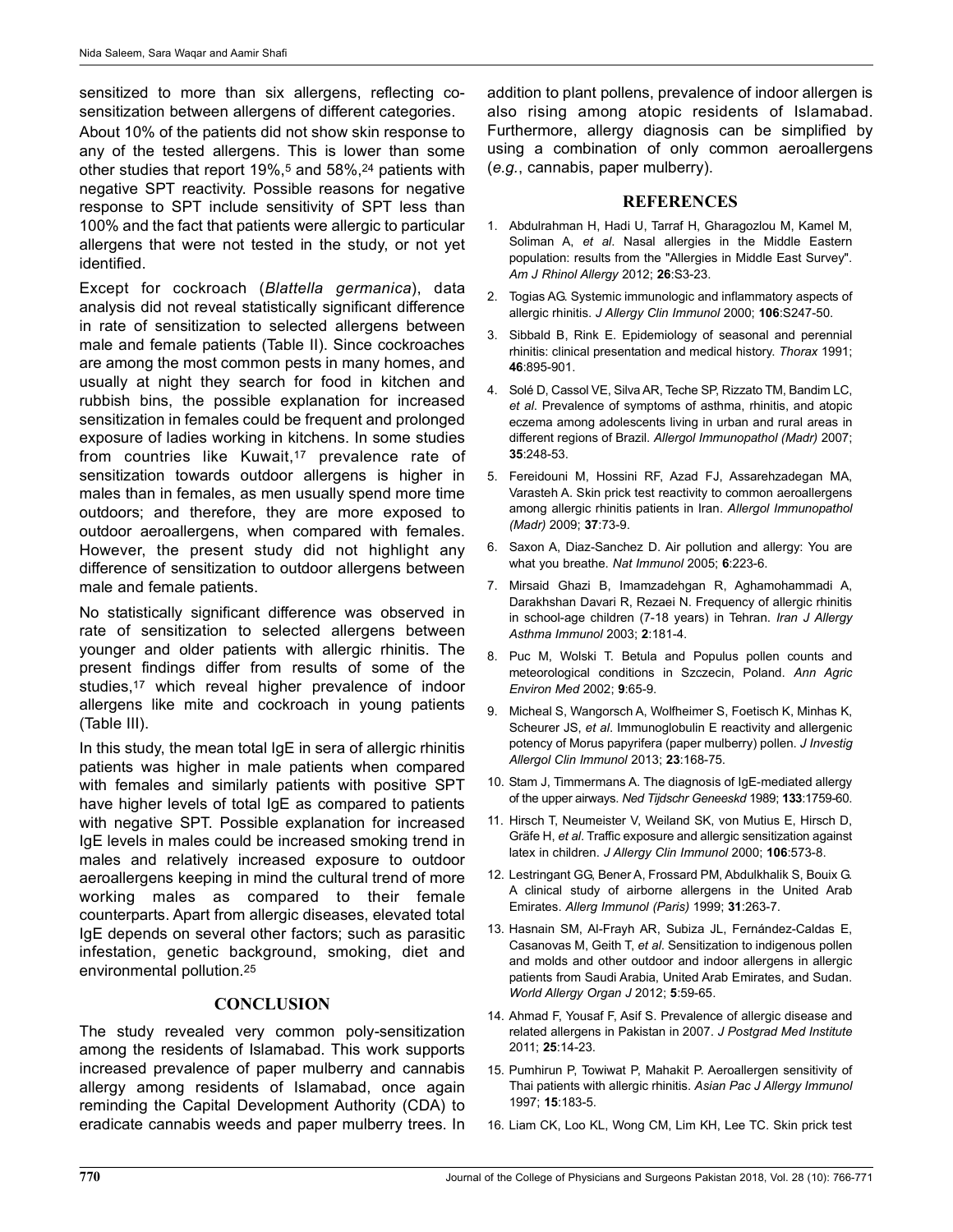sensitized to more than six allergens, reflecting cosensitization between allergens of different categories.

About 10% of the patients did not show skin response to any of the tested allergens. This is lower than some other studies that report 19%,<sup>5</sup> and 58%,<sup>24</sup> patients with negative SPT reactivity. Possible reasons for negative response to SPT include sensitivity of SPT less than 100% and the fact that patients were allergic to particular allergens that were not tested in the study, or not yet identified.

Except for cockroach (Blattella germanica), data analysis did not reveal statistically significant difference in rate of sensitization to selected allergens between male and female patients (Table II). Since cockroaches are among the most common pests in many homes, and usually at night they search for food in kitchen and rubbish bins, the possible explanation for increased sensitization in females could be frequent and prolonged exposure of ladies working in kitchens. In some studies from countries like Kuwait,<sup>17</sup> prevalence rate of sensitization towards outdoor allergens is higher in males than in females, as men usually spend more time outdoors; and therefore, they are more exposed to outdoor aeroallergens, when compared with females. However, the present study did not highlight any difference of sensitization to outdoor allergens between male and female patients.

No statistically significant difference was observed in rate of sensitization to selected allergens between younger and older patients with allergic rhinitis. The present findings differ from results of some of the studies,<sup>17</sup> which reveal higher prevalence of indoor allergens like mite and cockroach in young patients (Table III).

In this study, the mean total IgE in sera of allergic rhinitis patients was higher in male patients when compared with females and similarly patients with positive SPT have higher levels of total IgE as compared to patients with negative SPT. Possible explanation for increased IgE levels in males could be increased smoking trend in males and relatively increased exposure to outdoor aeroallergens keeping in mind the cultural trend of more working males as compared to their female counterparts. Apart from allergic diseases, elevated total IgE depends on several other factors; such as parasitic infestation, genetic background, smoking, diet and environmental pollution.<sup>25</sup>

### **CONCLUSION**

The study revealed very common poly-sensitization among the residents of Islamabad. This work supports increased prevalence of paper mulberry and cannabis allergy among residents of Islamabad, once again reminding the Capital Development Authority (CDA) to eradicate cannabis weeds and paper mulberry trees. In addition to plant pollens, prevalence of indoor allergen is also rising among atopic residents of Islamabad. Furthermore, allergy diagnosis can be simplified by using a combination of only common aeroallergens (e.g., cannabis, paper mulberry).

### REFERENCES

- 1. Abdulrahman H, Hadi U, Tarraf H, Gharagozlou M, Kamel M, Soliman A, et al. Nasal allergies in the Middle Eastern population: results from the "Allergies in Middle East Survey". Am J Rhinol Allergy 2012; 26:S3-23.
- 2. Togias AG. Systemic immunologic and inflammatory aspects of allergic rhinitis. J Allergy Clin Immunol 2000; 106:S247-50.
- 3. Sibbald B, Rink E. Epidemiology of seasonal and perennial rhinitis: clinical presentation and medical history. Thorax 1991; 46:895-901.
- 4. Solé D, Cassol VE, Silva AR, Teche SP, Rizzato TM, Bandim LC, et al. Prevalence of symptoms of asthma, rhinitis, and atopic eczema among adolescents living in urban and rural areas in different regions of Brazil. Allergol Immunopathol (Madr) 2007; 35:248-53.
- 5. Fereidouni M, Hossini RF, Azad FJ, Assarehzadegan MA, Varasteh A. Skin prick test reactivity to common aeroallergens among allergic rhinitis patients in Iran. Allergol Immunopathol (Madr) 2009; 37:73-9.
- 6. Saxon A, Diaz-Sanchez D. Air pollution and allergy: You are what you breathe. Nat Immunol 2005; 6:223-6.
- 7. Mirsaid Ghazi B, Imamzadehgan R, Aghamohammadi A, Darakhshan Davari R, Rezaei N. Frequency of allergic rhinitis in school-age children (7-18 years) in Tehran. Iran J Allergy Asthma Immunol 2003; 2:181-4.
- 8. Puc M, Wolski T. Betula and Populus pollen counts and meteorological conditions in Szczecin, Poland. Ann Agric Environ Med 2002; 9:65-9.
- 9. Micheal S, Wangorsch A, Wolfheimer S, Foetisch K, Minhas K, Scheurer JS, et al. Immunoglobulin E reactivity and allergenic potency of Morus papyrifera (paper mulberry) pollen. J Investig Allergol Clin Immunol 2013; 23:168-75.
- 10. Stam J, Timmermans A. The diagnosis of IgE-mediated allergy of the upper airways. Ned Tijdschr Geneeskd 1989; 133:1759-60.
- 11. Hirsch T, Neumeister V, Weiland SK, von Mutius E, Hirsch D, Gräfe H, et al. Traffic exposure and allergic sensitization against latex in children. J Allergy Clin Immunol 2000; 106:573-8.
- 12. Lestringant GG, Bener A, Frossard PM, Abdulkhalik S, Bouix G. A clinical study of airborne allergens in the United Arab Emirates. Allerg Immunol (Paris) 1999; 31:263-7.
- 13. Hasnain SM, Al-Frayh AR, Subiza JL, Fernández-Caldas E, Casanovas M, Geith T, et al. Sensitization to indigenous pollen and molds and other outdoor and indoor allergens in allergic patients from Saudi Arabia, United Arab Emirates, and Sudan. World Allergy Organ J 2012; 5:59-65.
- 14. Ahmad F, Yousaf F, Asif S. Prevalence of allergic disease and related allergens in Pakistan in 2007. J Postgrad Med Institute 2011; 25:14-23.
- 15. Pumhirun P, Towiwat P, Mahakit P. Aeroallergen sensitivity of Thai patients with allergic rhinitis. Asian Pac J Allergy Immunol 1997; 15:183-5.
- 16. Liam CK, Loo KL, Wong CM, Lim KH, Lee TC. Skin prick test